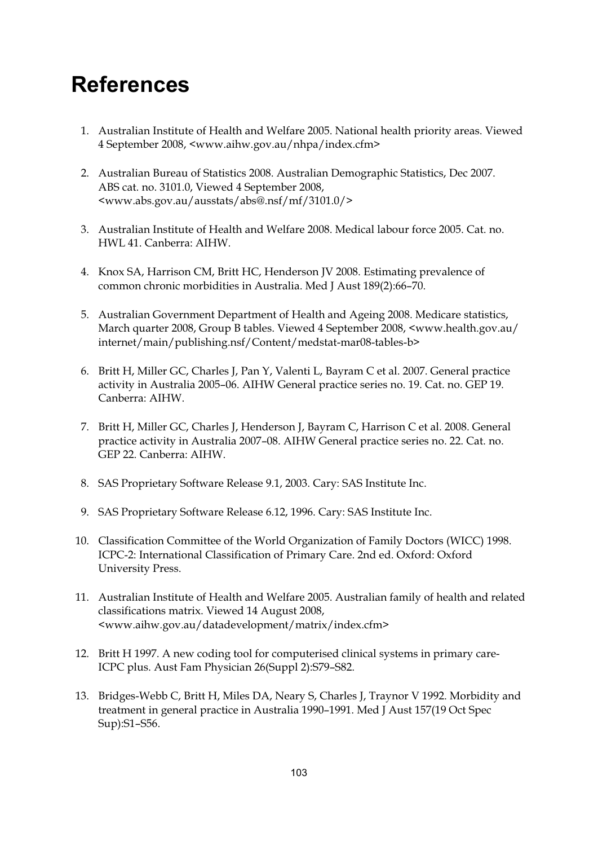## **References**

- 1. Australian Institute of Health and Welfare 2005. National health priority areas. Viewed 4 September 2008, <www.aihw.gov.au/nhpa/index.cfm>
- 2. Australian Bureau of Statistics 2008. Australian Demographic Statistics, Dec 2007. ABS cat. no. 3101.0, Viewed 4 September 2008, <www.abs.gov.au/ausstats/abs@.nsf/mf/3101.0/>
- 3. Australian Institute of Health and Welfare 2008. Medical labour force 2005. Cat. no. HWL 41. Canberra: AIHW.
- 4. Knox SA, Harrison CM, Britt HC, Henderson JV 2008. Estimating prevalence of common chronic morbidities in Australia. Med J Aust 189(2):66–70.
- 5. Australian Government Department of Health and Ageing 2008. Medicare statistics, March quarter 2008, Group B tables. Viewed 4 September 2008, <www.health.gov.au/ internet/main/publishing.nsf/Content/medstat-mar08-tables-b>
- 6. Britt H, Miller GC, Charles J, Pan Y, Valenti L, Bayram C et al. 2007. General practice activity in Australia 2005–06. AIHW General practice series no. 19. Cat. no. GEP 19. Canberra: AIHW.
- 7. Britt H, Miller GC, Charles J, Henderson J, Bayram C, Harrison C et al. 2008. General practice activity in Australia 2007–08. AIHW General practice series no. 22. Cat. no. GEP 22. Canberra: AIHW.
- 8. SAS Proprietary Software Release 9.1, 2003. Cary: SAS Institute Inc.
- 9. SAS Proprietary Software Release 6.12, 1996. Cary: SAS Institute Inc.
- 10. Classification Committee of the World Organization of Family Doctors (WICC) 1998. ICPC-2: International Classification of Primary Care. 2nd ed. Oxford: Oxford University Press.
- 11. Australian Institute of Health and Welfare 2005. Australian family of health and related classifications matrix. Viewed 14 August 2008, <www.aihw.gov.au/datadevelopment/matrix/index.cfm>
- 12. Britt H 1997. A new coding tool for computerised clinical systems in primary care-ICPC plus. Aust Fam Physician 26(Suppl 2):S79–S82.
- 13. Bridges-Webb C, Britt H, Miles DA, Neary S, Charles J, Traynor V 1992. Morbidity and treatment in general practice in Australia 1990–1991. Med J Aust 157(19 Oct Spec Sup):S1–S56.